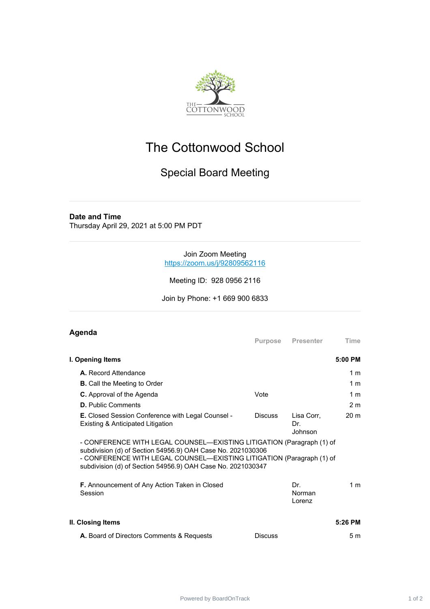

# The Cottonwood School

## Special Board Meeting

#### **Date and Time**

Thursday April 29, 2021 at 5:00 PM PDT

#### Join Zoom Meeting [https://zoom.us/j/92809562116](https://www.google.com/url?q=https://zoom.us/j/92809562116&sa=D&source=calendar&ust=1620074059924000&usg=AOvVaw3qMytd8Z5vsj1FYI9ACG5Y)

Meeting ID: 928 0956 2116

Join by Phone: +1 669 900 6833

### **Agenda**

|                                                                                                                                                                                                                                                                              | Purpose        | Presenter                    | Time            |
|------------------------------------------------------------------------------------------------------------------------------------------------------------------------------------------------------------------------------------------------------------------------------|----------------|------------------------------|-----------------|
| I. Opening Items                                                                                                                                                                                                                                                             |                |                              | 5:00 PM         |
| A. Record Attendance                                                                                                                                                                                                                                                         |                |                              | 1 <sub>m</sub>  |
| <b>B.</b> Call the Meeting to Order                                                                                                                                                                                                                                          |                |                              | 1 <sub>m</sub>  |
| <b>C.</b> Approval of the Agenda                                                                                                                                                                                                                                             | Vote           |                              | 1 <sub>m</sub>  |
| <b>D.</b> Public Comments                                                                                                                                                                                                                                                    |                |                              | 2 <sub>m</sub>  |
| <b>E.</b> Closed Session Conference with Legal Counsel -<br>Existing & Anticipated Litigation                                                                                                                                                                                | <b>Discuss</b> | Lisa Corr,<br>Dr.<br>Johnson | 20 <sub>m</sub> |
| - CONFERENCE WITH LEGAL COUNSEL—EXISTING LITIGATION (Paragraph (1) of<br>subdivision (d) of Section 54956.9) OAH Case No. 2021030306<br>- CONFERENCE WITH LEGAL COUNSEL—EXISTING LITIGATION (Paragraph (1) of<br>subdivision (d) of Section 54956.9) OAH Case No. 2021030347 |                |                              |                 |
| <b>F.</b> Announcement of Any Action Taken in Closed<br>Session                                                                                                                                                                                                              |                | Dr.<br>Norman<br>Lorenz      | 1 <sub>m</sub>  |
| II. Closing Items                                                                                                                                                                                                                                                            |                |                              | 5:26 PM         |
| A. Board of Directors Comments & Requests                                                                                                                                                                                                                                    | <b>Discuss</b> |                              | 5 <sub>m</sub>  |